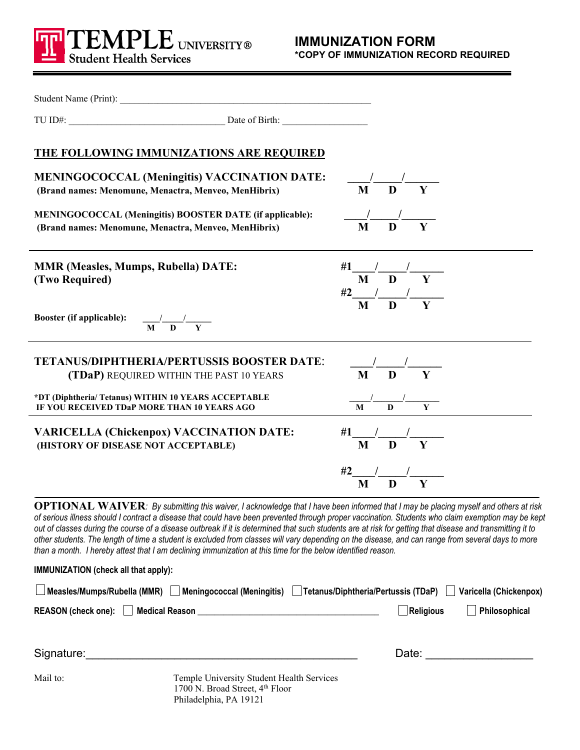

|                                                                                                     | Student Name (Print):                                                                                                                                                                                                                                                                                                                                                                                                                                                                                                                                                                                                                                                                                                              |                                                                                              |                          |
|-----------------------------------------------------------------------------------------------------|------------------------------------------------------------------------------------------------------------------------------------------------------------------------------------------------------------------------------------------------------------------------------------------------------------------------------------------------------------------------------------------------------------------------------------------------------------------------------------------------------------------------------------------------------------------------------------------------------------------------------------------------------------------------------------------------------------------------------------|----------------------------------------------------------------------------------------------|--------------------------|
|                                                                                                     |                                                                                                                                                                                                                                                                                                                                                                                                                                                                                                                                                                                                                                                                                                                                    |                                                                                              |                          |
|                                                                                                     | <b>THE FOLLOWING IMMUNIZATIONS ARE REQUIRED</b>                                                                                                                                                                                                                                                                                                                                                                                                                                                                                                                                                                                                                                                                                    |                                                                                              |                          |
| (Brand names: Menomune, Menactra, Menveo, MenHibrix)                                                | <b>MENINGOCOCCAL (Meningitis) VACCINATION DATE:</b>                                                                                                                                                                                                                                                                                                                                                                                                                                                                                                                                                                                                                                                                                | $\frac{1}{\sqrt{M}}$ $\frac{1}{\sqrt{M}}$                                                    |                          |
| (Brand names: Menomune, Menactra, Menveo, MenHibrix)                                                | MENINGOCOCCAL (Meningitis) BOOSTER DATE (if applicable):                                                                                                                                                                                                                                                                                                                                                                                                                                                                                                                                                                                                                                                                           | $\frac{1}{\sqrt{M}}$ $\frac{1}{\sqrt{M}}$ $\frac{1}{\sqrt{M}}$                               |                          |
| <b>MMR (Measles, Mumps, Rubella) DATE:</b><br>(Two Required)                                        |                                                                                                                                                                                                                                                                                                                                                                                                                                                                                                                                                                                                                                                                                                                                    | #1 $\frac{1}{M}$ $\frac{1}{D}$ $\frac{1}{Y}$<br>$\frac{\#2}{\mathbf{M}}\frac{1}{\mathbf{D}}$ |                          |
| <b>Booster (if applicable):</b> $\frac{1}{M} \frac{1}{D} \frac{1}{Y}$                               |                                                                                                                                                                                                                                                                                                                                                                                                                                                                                                                                                                                                                                                                                                                                    |                                                                                              |                          |
|                                                                                                     | <b>TETANUS/DIPHTHERIA/PERTUSSIS BOOSTER DATE:</b><br>(TDaP) REQUIRED WITHIN THE PAST 10 YEARS                                                                                                                                                                                                                                                                                                                                                                                                                                                                                                                                                                                                                                      | $\frac{1}{\mathbf{M}}\frac{1}{\mathbf{D}}$                                                   |                          |
| *DT (Diphtheria/ Tetanus) WITHIN 10 YEARS ACCEPTABLE<br>IF YOU RECEIVED TDaP MORE THAN 10 YEARS AGO |                                                                                                                                                                                                                                                                                                                                                                                                                                                                                                                                                                                                                                                                                                                                    | $\frac{1}{\sqrt{M}}$ $\frac{1}{\sqrt{M}}$ $\frac{1}{\sqrt{M}}$ $\frac{1}{\sqrt{M}}$          |                          |
| <b>VARICELLA (Chickenpox) VACCINATION DATE:</b><br>(HISTORY OF DISEASE NOT ACCEPTABLE)              |                                                                                                                                                                                                                                                                                                                                                                                                                                                                                                                                                                                                                                                                                                                                    | #1 $\frac{1}{M}$ $\frac{1}{D}$ $\frac{1}{Y}$                                                 |                          |
|                                                                                                     |                                                                                                                                                                                                                                                                                                                                                                                                                                                                                                                                                                                                                                                                                                                                    | $\frac{\#2}{\mathbf{M}}\frac{1}{\mathbf{D}}\frac{1}{\mathbf{Y}}$                             |                          |
|                                                                                                     | <b>OPTIONAL WAIVER:</b> By submitting this waiver, I acknowledge that I have been informed that I may be placing myself and others at risk<br>of serious illness should I contract a disease that could have been prevented through proper vaccination. Students who claim exemption may be kept<br>out of classes during the course of a disease outbreak if it is determined that such students are at risk for getting that disease and transmitting it to<br>other students. The length of time a student is excluded from classes will vary depending on the disease, and can range from several days to more<br>than a month. I hereby attest that I am declining immunization at this time for the below identified reason. |                                                                                              |                          |
| IMMUNIZATION (check all that apply):                                                                |                                                                                                                                                                                                                                                                                                                                                                                                                                                                                                                                                                                                                                                                                                                                    |                                                                                              |                          |
|                                                                                                     | Measles/Mumps/Rubella (MMR) Meningococcal (Meningitis)   Tetanus/Diphtheria/Pertussis (TDaP)                                                                                                                                                                                                                                                                                                                                                                                                                                                                                                                                                                                                                                       |                                                                                              | Varicella (Chickenpox)   |
|                                                                                                     |                                                                                                                                                                                                                                                                                                                                                                                                                                                                                                                                                                                                                                                                                                                                    | <b>Religious</b>                                                                             | Philosophical            |
| Signature:                                                                                          |                                                                                                                                                                                                                                                                                                                                                                                                                                                                                                                                                                                                                                                                                                                                    |                                                                                              | Date: <u>___________</u> |
| Mail to:                                                                                            | Temple University Student Health Services<br>1700 N. Broad Street, 4th Floor<br>Philadelphia, PA 19121                                                                                                                                                                                                                                                                                                                                                                                                                                                                                                                                                                                                                             |                                                                                              |                          |